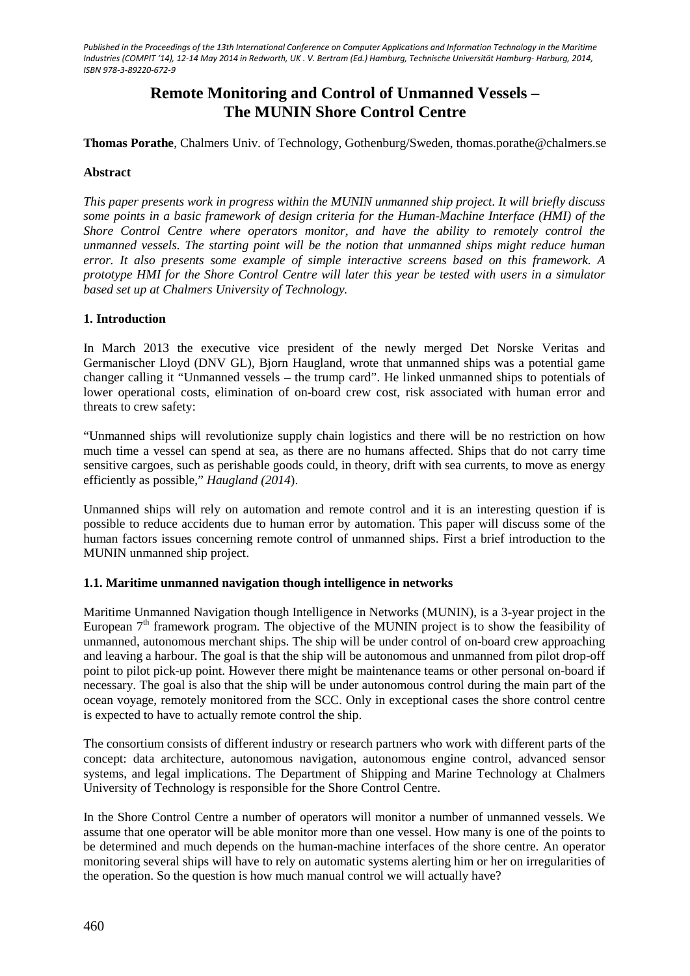# **Remote Monitoring and Control of Unmanned Vessels – The MUNIN Shore Control Centre**

**Thomas Porathe**, Chalmers Univ. of Technology, Gothenburg/Sweden, thomas.porathe@chalmers.se

#### **Abstract**

*This paper presents work in progress within the MUNIN unmanned ship project. It will briefly discuss some points in a basic framework of design criteria for the Human-Machine Interface (HMI) of the Shore Control Centre where operators monitor, and have the ability to remotely control the unmanned vessels. The starting point will be the notion that unmanned ships might reduce human error. It also presents some example of simple interactive screens based on this framework. A prototype HMI for the Shore Control Centre will later this year be tested with users in a simulator based set up at Chalmers University of Technology.*

#### **1. Introduction**

In March 2013 the executive vice president of the newly merged Det Norske Veritas and Germanischer Lloyd (DNV GL), Bjorn Haugland, wrote that unmanned ships was a potential game changer calling it "Unmanned vessels – the trump card". He linked unmanned ships to potentials of lower operational costs, elimination of on-board crew cost, risk associated with human error and threats to crew safety:

"Unmanned ships will revolutionize supply chain logistics and there will be no restriction on how much time a vessel can spend at sea, as there are no humans affected. Ships that do not carry time sensitive cargoes, such as perishable goods could, in theory, drift with sea currents, to move as energy efficiently as possible," *Haugland (2014*).

Unmanned ships will rely on automation and remote control and it is an interesting question if is possible to reduce accidents due to human error by automation. This paper will discuss some of the human factors issues concerning remote control of unmanned ships. First a brief introduction to the MUNIN unmanned ship project.

#### **1.1. Maritime unmanned navigation though intelligence in networks**

Maritime Unmanned Navigation though Intelligence in Networks (MUNIN), is a 3-year project in the European  $7<sup>th</sup>$  framework program. The objective of the MUNIN project is to show the feasibility of unmanned, autonomous merchant ships. The ship will be under control of on-board crew approaching and leaving a harbour. The goal is that the ship will be autonomous and unmanned from pilot drop-off point to pilot pick-up point. However there might be maintenance teams or other personal on-board if necessary. The goal is also that the ship will be under autonomous control during the main part of the ocean voyage, remotely monitored from the SCC. Only in exceptional cases the shore control centre is expected to have to actually remote control the ship.

The consortium consists of different industry or research partners who work with different parts of the concept: data architecture, autonomous navigation, autonomous engine control, advanced sensor systems, and legal implications. The Department of Shipping and Marine Technology at Chalmers University of Technology is responsible for the Shore Control Centre.

In the Shore Control Centre a number of operators will monitor a number of unmanned vessels. We assume that one operator will be able monitor more than one vessel. How many is one of the points to be determined and much depends on the human-machine interfaces of the shore centre. An operator monitoring several ships will have to rely on automatic systems alerting him or her on irregularities of the operation. So the question is how much manual control we will actually have?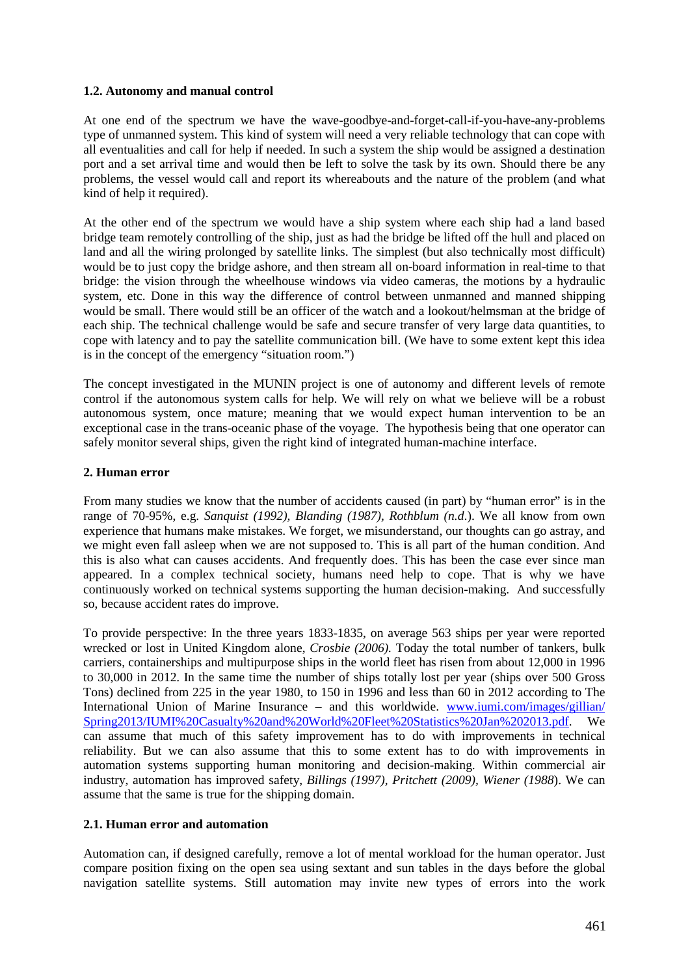### **1.2. Autonomy and manual control**

At one end of the spectrum we have the wave-goodbye-and-forget-call-if-you-have-any-problems type of unmanned system. This kind of system will need a very reliable technology that can cope with all eventualities and call for help if needed. In such a system the ship would be assigned a destination port and a set arrival time and would then be left to solve the task by its own. Should there be any problems, the vessel would call and report its whereabouts and the nature of the problem (and what kind of help it required).

At the other end of the spectrum we would have a ship system where each ship had a land based bridge team remotely controlling of the ship, just as had the bridge be lifted off the hull and placed on land and all the wiring prolonged by satellite links. The simplest (but also technically most difficult) would be to just copy the bridge ashore, and then stream all on-board information in real-time to that bridge: the vision through the wheelhouse windows via video cameras, the motions by a hydraulic system, etc. Done in this way the difference of control between unmanned and manned shipping would be small. There would still be an officer of the watch and a lookout/helmsman at the bridge of each ship. The technical challenge would be safe and secure transfer of very large data quantities, to cope with latency and to pay the satellite communication bill. (We have to some extent kept this idea is in the concept of the emergency "situation room.")

The concept investigated in the MUNIN project is one of autonomy and different levels of remote control if the autonomous system calls for help. We will rely on what we believe will be a robust autonomous system, once mature; meaning that we would expect human intervention to be an exceptional case in the trans-oceanic phase of the voyage. The hypothesis being that one operator can safely monitor several ships, given the right kind of integrated human-machine interface.

## **2. Human error**

From many studies we know that the number of accidents caused (in part) by "human error" is in the range of 70-95%, e.g. *Sanquist (1992), Blanding (1987), Rothblum (n.d*.). We all know from own experience that humans make mistakes. We forget, we misunderstand, our thoughts can go astray, and we might even fall asleep when we are not supposed to. This is all part of the human condition. And this is also what can causes accidents. And frequently does. This has been the case ever since man appeared. In a complex technical society, humans need help to cope. That is why we have continuously worked on technical systems supporting the human decision-making. And successfully so, because accident rates do improve.

To provide perspective: In the three years 1833-1835, on average 563 ships per year were reported wrecked or lost in United Kingdom alone, *Crosbie (2006).* Today the total number of tankers, bulk carriers, containerships and multipurpose ships in the world fleet has risen from about 12,000 in 1996 to 30,000 in 2012. In the same time the number of ships totally lost per year (ships over 500 Gross Tons) declined from 225 in the year 1980, to 150 in 1996 and less than 60 in 2012 according to The International Union of Marine Insurance – and this worldwide. [www.iumi.com/images/gillian/](http://www.iumi.com/images/gillian/%20Spring2013/IUMI%20Casualty%20and%20World%20Fleet%20Statistics%20Jan%202013.pdf)  [Spring2013/IUMI%20Casualty%20and%20World%20Fleet%20Statistics%20Jan%202013.pdf.](http://www.iumi.com/images/gillian/%20Spring2013/IUMI%20Casualty%20and%20World%20Fleet%20Statistics%20Jan%202013.pdf) We can assume that much of this safety improvement has to do with improvements in technical reliability. But we can also assume that this to some extent has to do with improvements in automation systems supporting human monitoring and decision-making. Within commercial air industry, automation has improved safety, *Billings (1997), Pritchett (2009), Wiener (1988*). We can assume that the same is true for the shipping domain.

#### **2.1. Human error and automation**

Automation can, if designed carefully, remove a lot of mental workload for the human operator. Just compare position fixing on the open sea using sextant and sun tables in the days before the global navigation satellite systems. Still automation may invite new types of errors into the work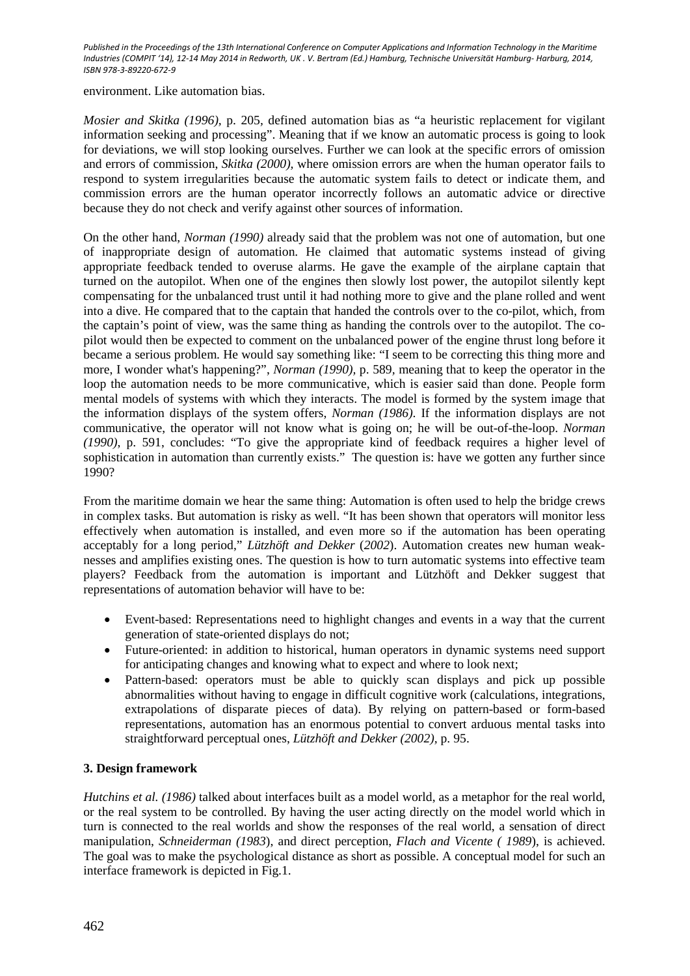environment. Like automation bias.

*Mosier and Skitka (1996),* p. 205*,* defined automation bias as "a heuristic replacement for vigilant information seeking and processing". Meaning that if we know an automatic process is going to look for deviations, we will stop looking ourselves. Further we can look at the specific errors of omission and errors of commission, *Skitka (2000),* where omission errors are when the human operator fails to respond to system irregularities because the automatic system fails to detect or indicate them, and commission errors are the human operator incorrectly follows an automatic advice or directive because they do not check and verify against other sources of information.

On the other hand, *Norman (1990)* already said that the problem was not one of automation, but one of inappropriate design of automation. He claimed that automatic systems instead of giving appropriate feedback tended to overuse alarms. He gave the example of the airplane captain that turned on the autopilot. When one of the engines then slowly lost power, the autopilot silently kept compensating for the unbalanced trust until it had nothing more to give and the plane rolled and went into a dive. He compared that to the captain that handed the controls over to the co-pilot, which, from the captain's point of view, was the same thing as handing the controls over to the autopilot. The copilot would then be expected to comment on the unbalanced power of the engine thrust long before it became a serious problem. He would say something like: "I seem to be correcting this thing more and more, I wonder what's happening?", *Norman (1990),* p. 589*,* meaning that to keep the operator in the loop the automation needs to be more communicative, which is easier said than done. People form mental models of systems with which they interacts. The model is formed by the system image that the information displays of the system offers, *Norman (1986)*. If the information displays are not communicative, the operator will not know what is going on; he will be out-of-the-loop. *Norman (1990)*, p. 591, concludes: "To give the appropriate kind of feedback requires a higher level of sophistication in automation than currently exists." The question is: have we gotten any further since 1990?

From the maritime domain we hear the same thing: Automation is often used to help the bridge crews in complex tasks. But automation is risky as well. "It has been shown that operators will monitor less effectively when automation is installed, and even more so if the automation has been operating acceptably for a long period," *Lützhöft and Dekker* (*2002*). Automation creates new human weaknesses and amplifies existing ones. The question is how to turn automatic systems into effective team players? Feedback from the automation is important and Lützhöft and Dekker suggest that representations of automation behavior will have to be:

- Event-based: Representations need to highlight changes and events in a way that the current generation of state-oriented displays do not;
- Future-oriented: in addition to historical, human operators in dynamic systems need support for anticipating changes and knowing what to expect and where to look next;
- Pattern-based: operators must be able to quickly scan displays and pick up possible abnormalities without having to engage in difficult cognitive work (calculations, integrations, extrapolations of disparate pieces of data). By relying on pattern-based or form-based representations, automation has an enormous potential to convert arduous mental tasks into straightforward perceptual ones, *Lützhöft and Dekker (2002),* p. 95.

# **3. Design framework**

*Hutchins et al. (1986)* talked about interfaces built as a model world, as a metaphor for the real world, or the real system to be controlled. By having the user acting directly on the model world which in turn is connected to the real worlds and show the responses of the real world, a sensation of direct manipulation, *Schneiderman (1983*), and direct perception, *Flach and Vicente ( 1989*), is achieved. The goal was to make the psychological distance as short as possible. A conceptual model for such an interface framework is depicted in Fig.1.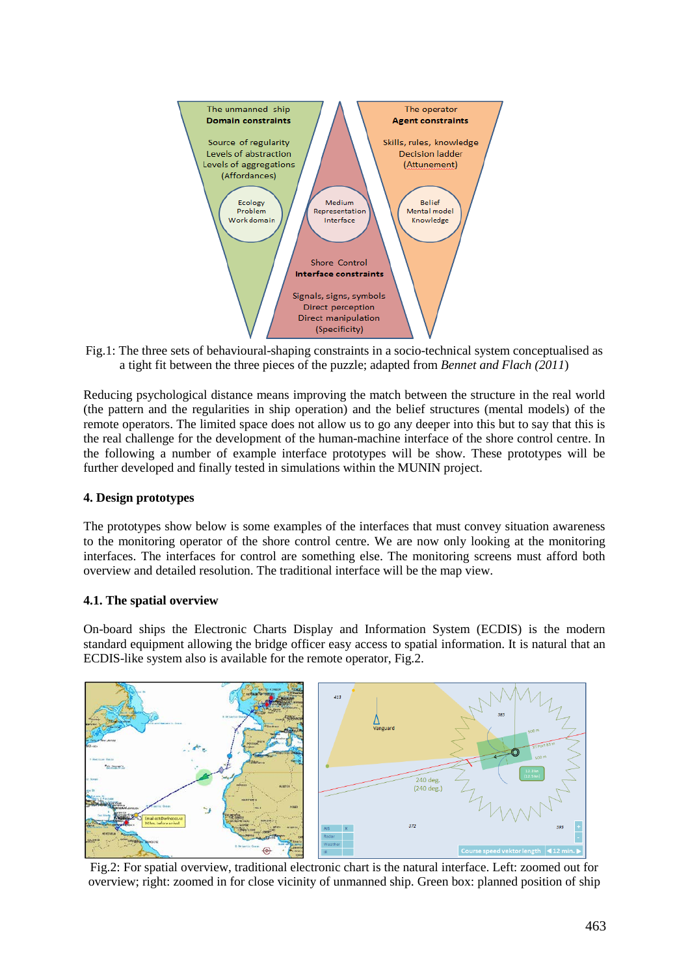

Fig.1: The three sets of behavioural-shaping constraints in a socio-technical system conceptualised as a tight fit between the three pieces of the puzzle; adapted from *Bennet and Flach (2011*)

Reducing psychological distance means improving the match between the structure in the real world (the pattern and the regularities in ship operation) and the belief structures (mental models) of the remote operators. The limited space does not allow us to go any deeper into this but to say that this is the real challenge for the development of the human-machine interface of the shore control centre. In the following a number of example interface prototypes will be show. These prototypes will be further developed and finally tested in simulations within the MUNIN project.

# **4. Design prototypes**

The prototypes show below is some examples of the interfaces that must convey situation awareness to the monitoring operator of the shore control centre. We are now only looking at the monitoring interfaces. The interfaces for control are something else. The monitoring screens must afford both overview and detailed resolution. The traditional interface will be the map view.

#### **4.1. The spatial overview**

On-board ships the Electronic Charts Display and Information System (ECDIS) is the modern standard equipment allowing the bridge officer easy access to spatial information. It is natural that an ECDIS-like system also is available for the remote operator, Fig.2.



Fig.2: For spatial overview, traditional electronic chart is the natural interface. Left: zoomed out for overview; right: zoomed in for close vicinity of unmanned ship. Green box: planned position of ship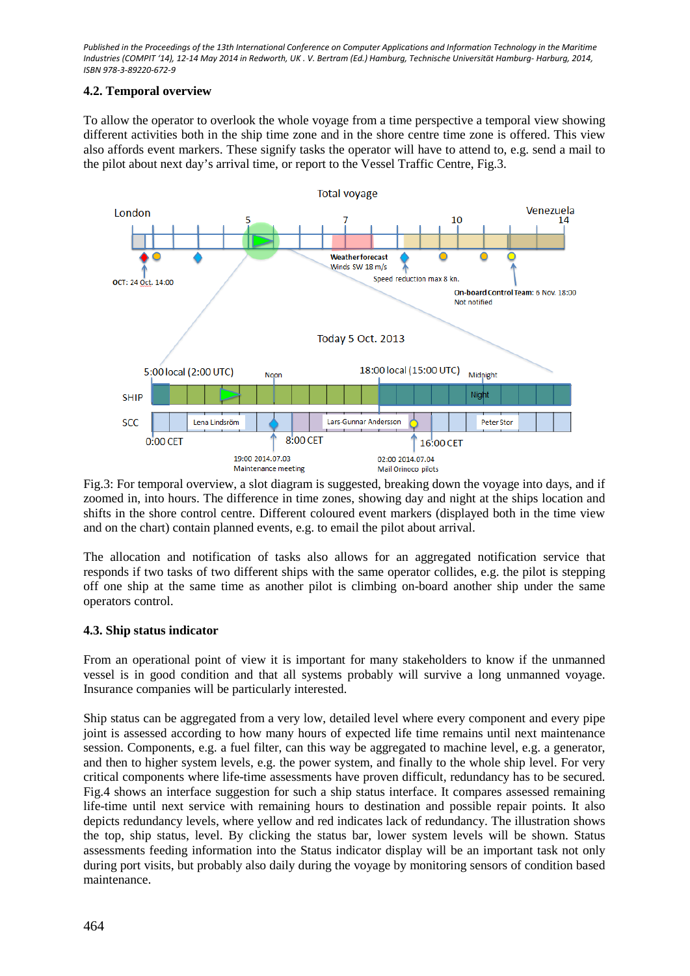## **4.2. Temporal overview**

To allow the operator to overlook the whole voyage from a time perspective a temporal view showing different activities both in the ship time zone and in the shore centre time zone is offered. This view also affords event markers. These signify tasks the operator will have to attend to, e.g. send a mail to the pilot about next day's arrival time, or report to the Vessel Traffic Centre, Fig.3.



Fig.3: For temporal overview, a slot diagram is suggested, breaking down the voyage into days, and if zoomed in, into hours. The difference in time zones, showing day and night at the ships location and shifts in the shore control centre. Different coloured event markers (displayed both in the time view and on the chart) contain planned events, e.g. to email the pilot about arrival.

The allocation and notification of tasks also allows for an aggregated notification service that responds if two tasks of two different ships with the same operator collides, e.g. the pilot is stepping off one ship at the same time as another pilot is climbing on-board another ship under the same operators control.

# **4.3. Ship status indicator**

From an operational point of view it is important for many stakeholders to know if the unmanned vessel is in good condition and that all systems probably will survive a long unmanned voyage. Insurance companies will be particularly interested.

Ship status can be aggregated from a very low, detailed level where every component and every pipe joint is assessed according to how many hours of expected life time remains until next maintenance session. Components, e.g. a fuel filter, can this way be aggregated to machine level, e.g. a generator, and then to higher system levels, e.g. the power system, and finally to the whole ship level. For very critical components where life-time assessments have proven difficult, redundancy has to be secured. Fig.4 shows an interface suggestion for such a ship status interface. It compares assessed remaining life-time until next service with remaining hours to destination and possible repair points. It also depicts redundancy levels, where yellow and red indicates lack of redundancy. The illustration shows the top, ship status, level. By clicking the status bar, lower system levels will be shown. Status assessments feeding information into the Status indicator display will be an important task not only during port visits, but probably also daily during the voyage by monitoring sensors of condition based maintenance.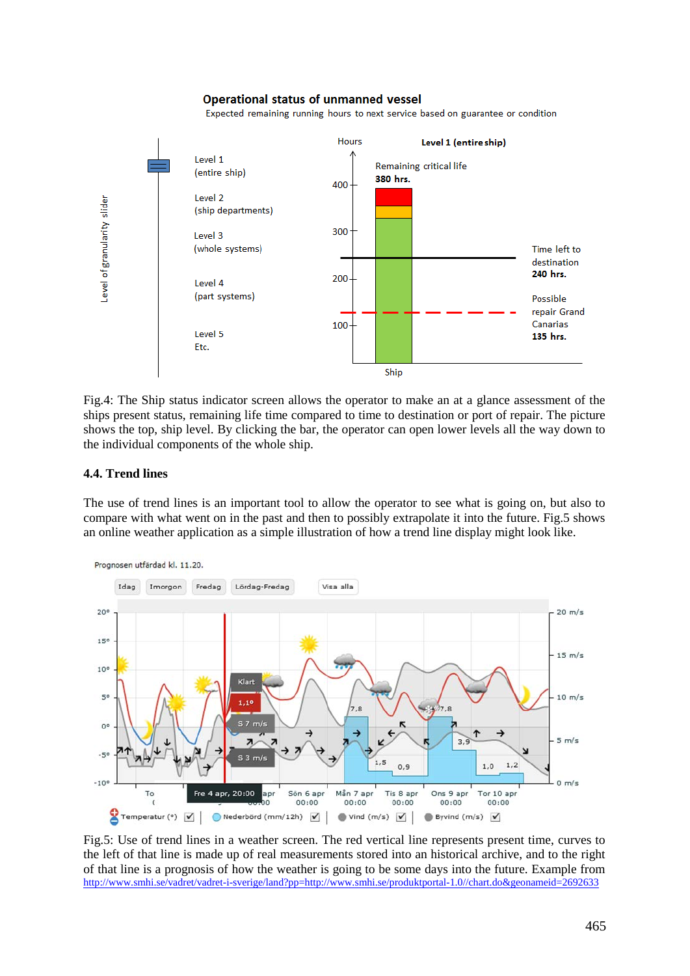#### **Operational status of unmanned vessel**

Expected remaining running hours to next service based on guarantee or condition



Fig.4: The Ship status indicator screen allows the operator to make an at a glance assessment of the ships present status, remaining life time compared to time to destination or port of repair. The picture shows the top, ship level. By clicking the bar, the operator can open lower levels all the way down to the individual components of the whole ship.

#### **4.4. Trend lines**

The use of trend lines is an important tool to allow the operator to see what is going on, but also to compare with what went on in the past and then to possibly extrapolate it into the future. Fig.5 shows an online weather application as a simple illustration of how a trend line display might look like.



Fig.5: Use of trend lines in a weather screen. The red vertical line represents present time, curves to the left of that line is made up of real measurements stored into an historical archive, and to the right of that line is a prognosis of how the weather is going to be some days into the future. Example from <http://www.smhi.se/vadret/vadret-i-sverige/land?pp=http://www.smhi.se/produktportal-1.0//chart.do&geonameid=2692633>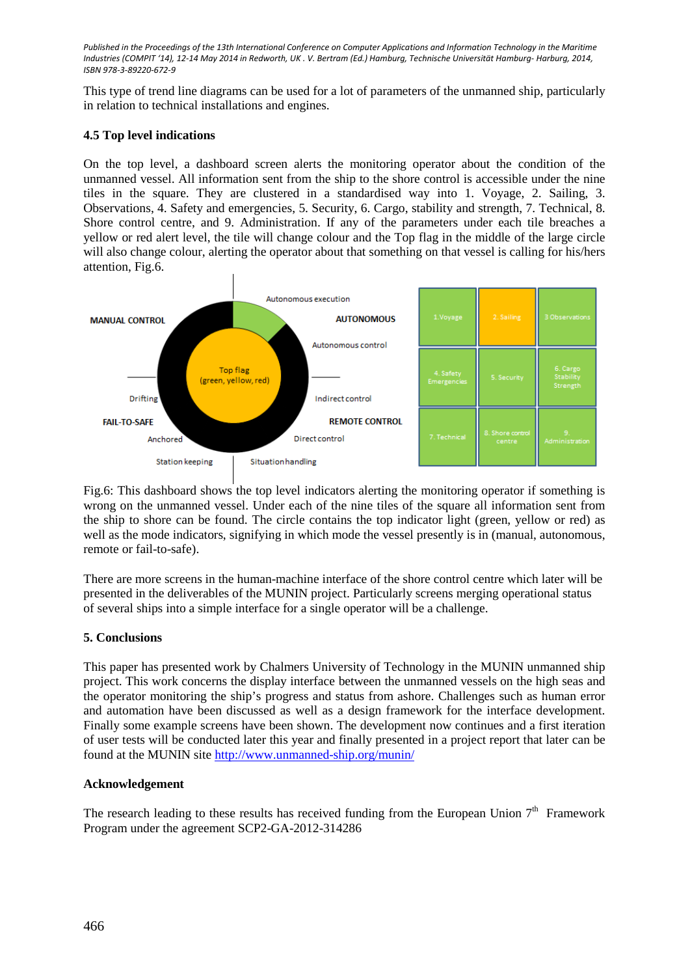This type of trend line diagrams can be used for a lot of parameters of the unmanned ship, particularly in relation to technical installations and engines.

### **4.5 Top level indications**

On the top level, a dashboard screen alerts the monitoring operator about the condition of the unmanned vessel. All information sent from the ship to the shore control is accessible under the nine tiles in the square. They are clustered in a standardised way into 1. Voyage, 2. Sailing, 3. Observations, 4. Safety and emergencies, 5. Security, 6. Cargo, stability and strength, 7. Technical, 8. Shore control centre, and 9. Administration. If any of the parameters under each tile breaches a yellow or red alert level, the tile will change colour and the Top flag in the middle of the large circle will also change colour, alerting the operator about that something on that vessel is calling for his/hers attention, Fig.6.



Fig.6: This dashboard shows the top level indicators alerting the monitoring operator if something is wrong on the unmanned vessel. Under each of the nine tiles of the square all information sent from the ship to shore can be found. The circle contains the top indicator light (green, yellow or red) as well as the mode indicators, signifying in which mode the vessel presently is in (manual, autonomous, remote or fail-to-safe).

There are more screens in the human-machine interface of the shore control centre which later will be presented in the deliverables of the MUNIN project. Particularly screens merging operational status of several ships into a simple interface for a single operator will be a challenge.

# **5. Conclusions**

This paper has presented work by Chalmers University of Technology in the MUNIN unmanned ship project. This work concerns the display interface between the unmanned vessels on the high seas and the operator monitoring the ship's progress and status from ashore. Challenges such as human error and automation have been discussed as well as a design framework for the interface development. Finally some example screens have been shown. The development now continues and a first iteration of user tests will be conducted later this year and finally presented in a project report that later can be found at the MUNIN site<http://www.unmanned-ship.org/munin/>

#### **Acknowledgement**

The research leading to these results has received funding from the European Union  $7<sup>th</sup>$  Framework Program under the agreement SCP2-GA-2012-314286